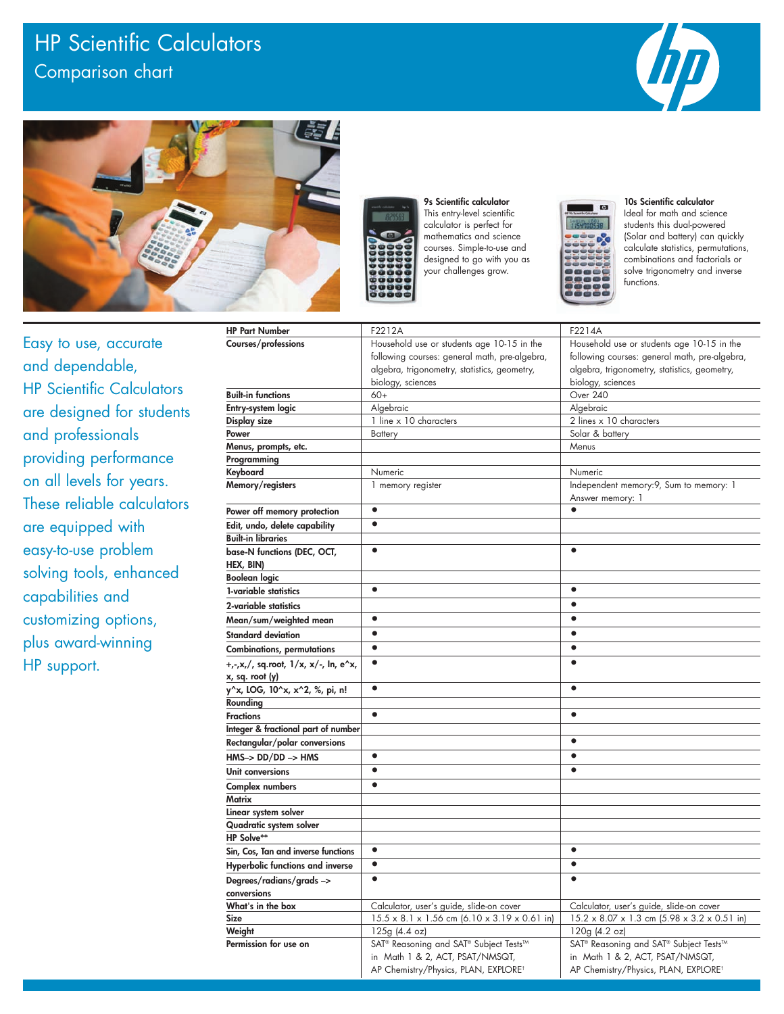## HP Scientific Calculators Comparison chart







9s Scientific calculator This entry-level scientific calculator is perfect for mathematics and science courses. Simple-to-use and designed to go with you as your challenges grow.



10s Scientific calculator Ideal for math and science students this dual-powered (Solar and battery) can quickly calculate statistics, permutations, combinations and factorials or solve trigonometry and inverse functions.

Easy to use, accurate and dependable, **HP Scientific Calculators** are designed for students and professionals providing performance on all levels for years. These reliable calculators are equipped with easy-to-use problem solving tools, enhanced capabilities and customizing options, plus award-winning HP support.

| <b>HP Part Number</b>                                   | F2212A                                                                                                                                                           | F2214A                                                                                                                                                           |  |
|---------------------------------------------------------|------------------------------------------------------------------------------------------------------------------------------------------------------------------|------------------------------------------------------------------------------------------------------------------------------------------------------------------|--|
| Courses/professions                                     | Household use or students age 10-15 in the<br>following courses: general math, pre-algebra,<br>algebra, trigonometry, statistics, geometry,<br>biology, sciences | Household use or students age 10-15 in the<br>following courses: general math, pre-algebra,<br>algebra, trigonometry, statistics, geometry,<br>biology, sciences |  |
| Built-in functions                                      | $60+$                                                                                                                                                            | Over 240                                                                                                                                                         |  |
| Entry-system logic                                      | Algebraic                                                                                                                                                        | Algebraic                                                                                                                                                        |  |
| Display size                                            | 1 line x 10 characters                                                                                                                                           | 2 lines x 10 characters                                                                                                                                          |  |
| Power                                                   | Solar & battery<br><b>Battery</b>                                                                                                                                |                                                                                                                                                                  |  |
| Menus, prompts, etc.                                    |                                                                                                                                                                  | Menus                                                                                                                                                            |  |
| Programming                                             |                                                                                                                                                                  |                                                                                                                                                                  |  |
| Keyboard                                                | Numeric                                                                                                                                                          | Numeric                                                                                                                                                          |  |
| Memory/registers                                        | 1 memory register                                                                                                                                                | Independent memory: 9, Sum to memory: 1<br>Answer memory: 1                                                                                                      |  |
| Power off memory protection                             | $\bullet$                                                                                                                                                        | $\bullet$                                                                                                                                                        |  |
| Edit, undo, delete capability                           | $\bullet$                                                                                                                                                        |                                                                                                                                                                  |  |
| Built-in libraries                                      |                                                                                                                                                                  |                                                                                                                                                                  |  |
| base-N functions (DEC, OCT,<br>HEX, BIN)                | $\bullet$                                                                                                                                                        | $\bullet$                                                                                                                                                        |  |
| Boolean logic                                           |                                                                                                                                                                  |                                                                                                                                                                  |  |
| 1-variable statistics                                   | $\bullet$                                                                                                                                                        | $\bullet$                                                                                                                                                        |  |
| 2-variable statistics                                   |                                                                                                                                                                  | $\bullet$                                                                                                                                                        |  |
| Mean/sum/weighted mean                                  | $\bullet$                                                                                                                                                        | $\bullet$                                                                                                                                                        |  |
| Standard deviation                                      | $\bullet$                                                                                                                                                        |                                                                                                                                                                  |  |
| Combinations, permutations                              | $\bullet$                                                                                                                                                        | $\bullet$                                                                                                                                                        |  |
|                                                         | $\bullet$                                                                                                                                                        | $\bullet$                                                                                                                                                        |  |
| +,-,x,/, sq.root, 1/x, x/-, ln, e^x,<br>x, sq. root (y) |                                                                                                                                                                  |                                                                                                                                                                  |  |
| y^x, LOG, 10^x, x^2, %, pi, n!                          | $\bullet$                                                                                                                                                        | $\bullet$                                                                                                                                                        |  |
| Rounding                                                |                                                                                                                                                                  |                                                                                                                                                                  |  |
| Fractions                                               | $\bullet$                                                                                                                                                        | $\bullet$                                                                                                                                                        |  |
| Integer & fractional part of number                     |                                                                                                                                                                  |                                                                                                                                                                  |  |
| Rectangular/polar conversions                           |                                                                                                                                                                  | $\bullet$                                                                                                                                                        |  |
| HMS-> DD/DD -> HMS                                      | $\bullet$                                                                                                                                                        |                                                                                                                                                                  |  |
| Unit conversions                                        | $\bullet$                                                                                                                                                        | $\bullet$                                                                                                                                                        |  |
| Complex numbers                                         |                                                                                                                                                                  |                                                                                                                                                                  |  |
| Matrix                                                  |                                                                                                                                                                  |                                                                                                                                                                  |  |
| Linear system solver                                    |                                                                                                                                                                  |                                                                                                                                                                  |  |
| Quadratic system solver                                 |                                                                                                                                                                  |                                                                                                                                                                  |  |
| HP Solve**                                              |                                                                                                                                                                  |                                                                                                                                                                  |  |
| Sin, Cos, Tan and inverse functions                     | $\bullet$                                                                                                                                                        |                                                                                                                                                                  |  |
| Hyperbolic functions and inverse                        | $\bullet$                                                                                                                                                        |                                                                                                                                                                  |  |
| Degrees/radians/grads ->                                | $\bullet$                                                                                                                                                        | $\bullet$                                                                                                                                                        |  |
| conversions                                             |                                                                                                                                                                  |                                                                                                                                                                  |  |
| What's in the box                                       | Calculator, user's guide, slide-on cover                                                                                                                         | Calculator, user's guide, slide-on cover                                                                                                                         |  |
| Size                                                    | $15.5 \times 8.1 \times 1.56$ cm $(6.10 \times 3.19 \times 0.61$ in)                                                                                             | $15.2 \times 8.07 \times 1.3$ cm $(5.98 \times 3.2 \times 0.51$ in)                                                                                              |  |
| Weight                                                  | 125g(4.4oz)                                                                                                                                                      | $120g$ (4.2 oz)                                                                                                                                                  |  |
| Permission for use on                                   | SAT <sup>®</sup> Reasoning and SAT <sup>®</sup> Subject Tests™                                                                                                   | SAT <sup>®</sup> Reasoning and SAT <sup>®</sup> Subject Tests™                                                                                                   |  |
|                                                         | in Math 1 & 2, ACT, PSAT/NMSQT,                                                                                                                                  | in Math 1 & 2, ACT, PSAT/NMSQT,                                                                                                                                  |  |
|                                                         | AP Chemistry/Physics, PLAN, EXPLORE <sup>t</sup>                                                                                                                 | AP Chemistry/Physics, PLAN, EXPLORE <sup>t</sup>                                                                                                                 |  |